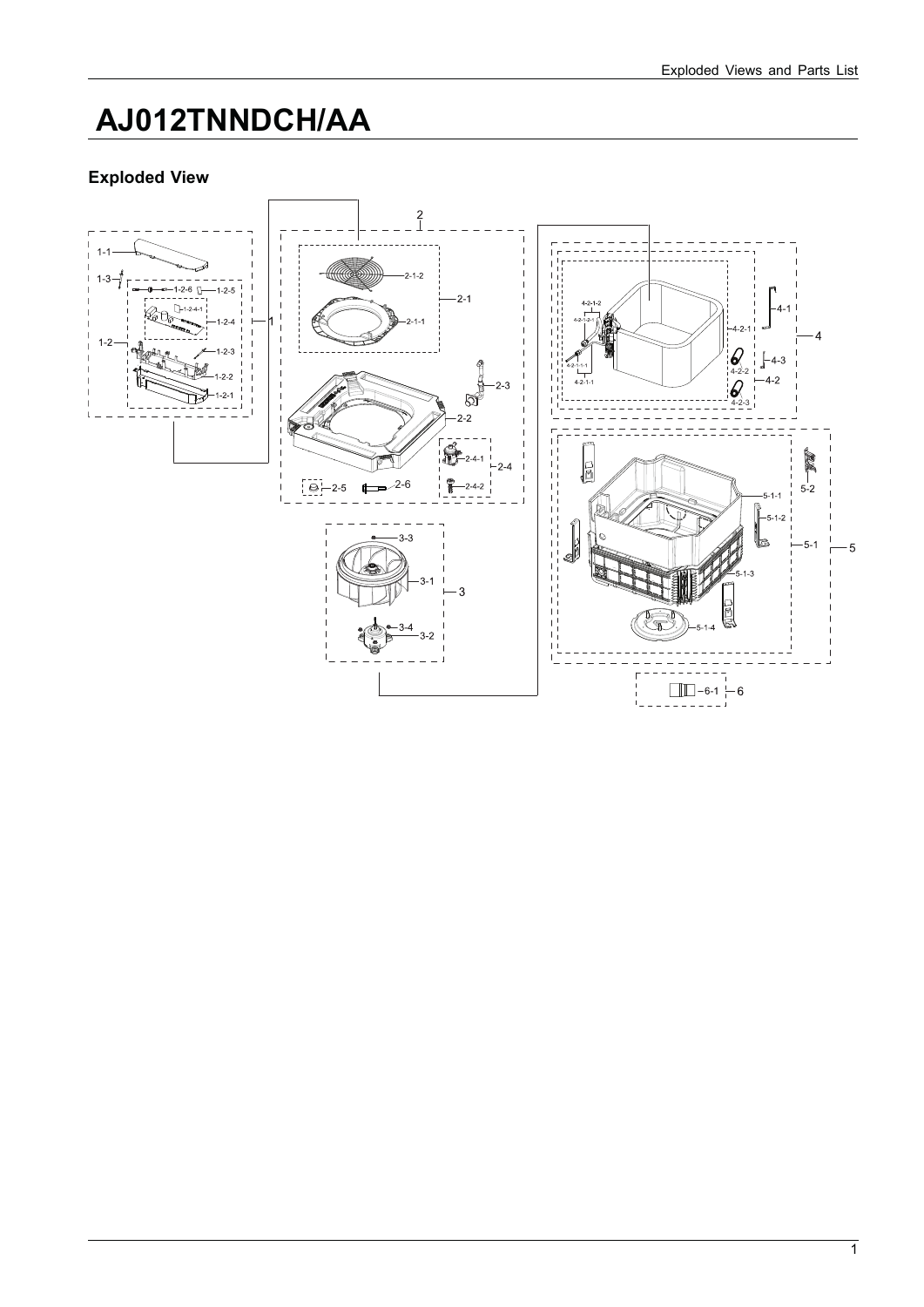## **AJ012TNNDCH/AA**

## **Exploded View**